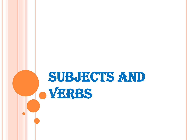## SUBJECTS AND **OVERBS**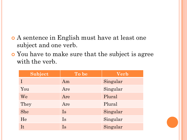- A sentence in English must have at least one subject and one verb.
- You have to make sure that the subject is agree with the verb.

| Subject    | To be     | <b>Verb</b> |
|------------|-----------|-------------|
|            | Am        | Singular    |
| You        | Are       | Singular    |
| We         | Are       | Plural      |
| They       | Are       | Plural      |
| <b>She</b> | <b>Is</b> | Singular    |
| He         | Is        | Singular    |
| It         | Is        | Singular    |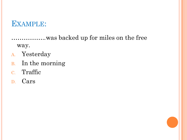### **EXAMPLE:**

.................was backed up for miles on the free way.

- A. Yesterday
- B. In the morning
- c. Traffic
- D. Cars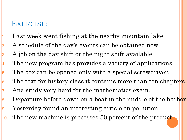### EXERCISE:

Last week went fishing at the nearby mountain lake. 2. A schedule of the day's events can be obtained now.  $\vert$ 3. A job on the day shift or the night shift available.  $\|4$ . The new program has provides a variety of applications. 5. The box can be opened only with a special screwdriver. 6. The text for history class it contains more than ten chapters. 7. Ana study very hard for the mathematics exam. 8. Departure before dawn on a boat in the middle of the harbor. 9. Yesterday found an interesting article on pollution. 10. The new machine is processes 50 percent of the product.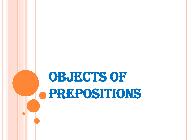# OBJECTS OF PREPOSITIONS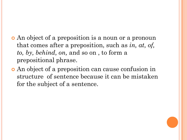- An object of a preposition is a noun or a pronoun that comes after a preposition, such as *in, at, of, to, by, behind, on,* and so on , to form a prepositional phrase.
- An object of a preposition can cause confusion in structure of sentence because it can be mistaken for the subject of a sentence.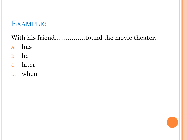### EXAMPLE:

### With his friend...............found the movie theater.

- A. has
- B. he
- c. later
- D. when